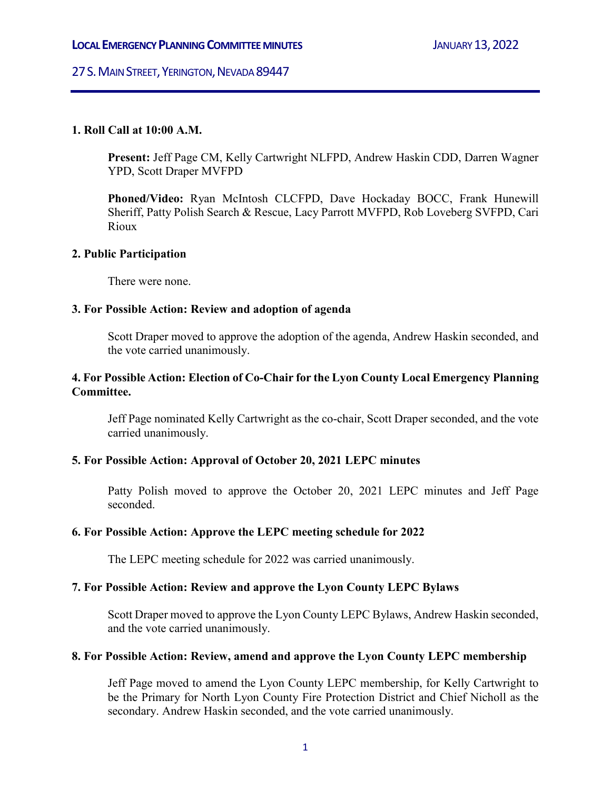# 27 S. MAIN STREET, YERINGTON, NEVADA 89447

## **1. Roll Call at 10:00 A.M.**

**Present:** Jeff Page CM, Kelly Cartwright NLFPD, Andrew Haskin CDD, Darren Wagner YPD, Scott Draper MVFPD

**Phoned/Video:** Ryan McIntosh CLCFPD, Dave Hockaday BOCC, Frank Hunewill Sheriff, Patty Polish Search & Rescue, Lacy Parrott MVFPD, Rob Loveberg SVFPD, Cari Rioux

### **2. Public Participation**

There were none.

### **3. For Possible Action: Review and adoption of agenda**

Scott Draper moved to approve the adoption of the agenda, Andrew Haskin seconded, and the vote carried unanimously.

## **4. For Possible Action: Election of Co-Chair for the Lyon County Local Emergency Planning Committee.**

Jeff Page nominated Kelly Cartwright as the co-chair, Scott Draper seconded, and the vote carried unanimously.

## **5. For Possible Action: Approval of October 20, 2021 LEPC minutes**

Patty Polish moved to approve the October 20, 2021 LEPC minutes and Jeff Page seconded.

## **6. For Possible Action: Approve the LEPC meeting schedule for 2022**

The LEPC meeting schedule for 2022 was carried unanimously.

## **7. For Possible Action: Review and approve the Lyon County LEPC Bylaws**

Scott Draper moved to approve the Lyon County LEPC Bylaws, Andrew Haskin seconded, and the vote carried unanimously.

#### **8. For Possible Action: Review, amend and approve the Lyon County LEPC membership**

Jeff Page moved to amend the Lyon County LEPC membership, for Kelly Cartwright to be the Primary for North Lyon County Fire Protection District and Chief Nicholl as the secondary. Andrew Haskin seconded, and the vote carried unanimously.